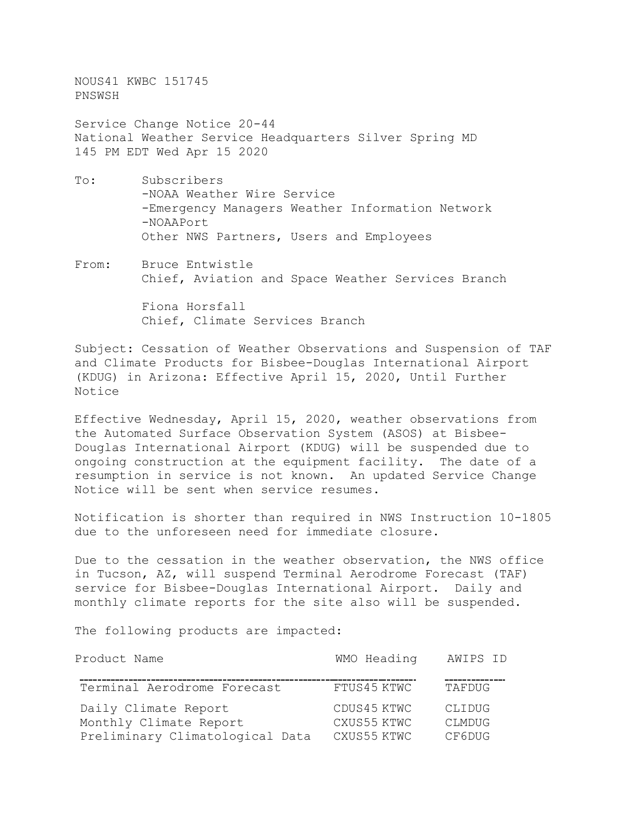NOUS41 KWBC 151745 PNSWSH

Service Change Notice 20-44 National Weather Service Headquarters Silver Spring MD 145 PM EDT Wed Apr 15 2020

- To: Subscribers -NOAA Weather Wire Service -Emergency Managers Weather Information Network -NOAAPort Other NWS Partners, Users and Employees
- From: Bruce Entwistle Chief, Aviation and Space Weather Services Branch

 Fiona Horsfall Chief, Climate Services Branch

Subject: Cessation of Weather Observations and Suspension of TAF and Climate Products for Bisbee-Douglas International Airport (KDUG) in Arizona: Effective April 15, 2020, Until Further Notice

Effective Wednesday, April 15, 2020, weather observations from the Automated Surface Observation System (ASOS) at Bisbee-Douglas International Airport (KDUG) will be suspended due to ongoing construction at the equipment facility. The date of a resumption in service is not known. An updated Service Change Notice will be sent when service resumes.

Notification is shorter than required in NWS Instruction 10-1805 due to the unforeseen need for immediate closure.

Due to the cessation in the weather observation, the NWS office in Tucson, AZ, will suspend Terminal Aerodrome Forecast (TAF) service for Bisbee-Douglas International Airport. Daily and monthly climate reports for the site also will be suspended.

The following products are impacted:

| Product Name                                   | WMO Heading                | AWIPS ID                |
|------------------------------------------------|----------------------------|-------------------------|
| Terminal Aerodrome Forecast                    | FTUS45 KTWC                | TAFDUG                  |
| Daily Climate Report<br>Monthly Climate Report | CDUS45 KTWC<br>CXUS55 KTWC | CLIDUG<br><b>CLMDUG</b> |
| Preliminary Climatological Data                | CXUS55 KTWC                | CF6DUG                  |